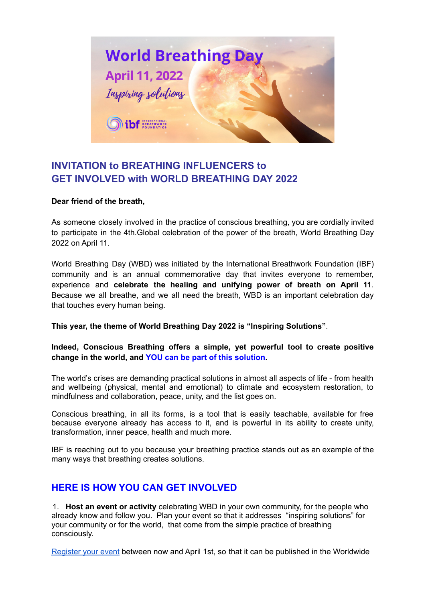

## **INVITATION to BREATHING INFLUENCERS to GET INVOLVED with WORLD BREATHING DAY 2022**

## **Dear friend of the breath,**

As someone closely involved in the practice of conscious breathing, you are cordially invited to participate in the 4th.Global celebration of the power of the breath, World Breathing Day 2022 on April 11.

World Breathing Day (WBD) was initiated by the International Breathwork Foundation (IBF) community and is an annual commemorative day that invites everyone to remember, experience and **celebrate the healing and unifying power of breath on April 11**. Because we all breathe, and we all need the breath, WBD is an important celebration day that touches every human being.

**This year, the theme of World Breathing Day 2022 is "Inspiring Solutions"**.

**Indeed, Conscious Breathing offers a simple, yet powerful tool to create positive change in the world, and YOU can be part of this solution.**

The world's crises are demanding practical solutions in almost all aspects of life - from health and wellbeing (physical, mental and emotional) to climate and ecosystem restoration, to mindfulness and collaboration, peace, unity, and the list goes on.

Conscious breathing, in all its forms, is a tool that is easily teachable, available for free because everyone already has access to it, and is powerful in its ability to create unity, transformation, inner peace, health and much more.

IBF is reaching out to you because your breathing practice stands out as an example of the many ways that breathing creates solutions.

## **HERE IS HOW YOU CAN GET INVOLVED**

1. **Host an event or activity** celebrating WBD in your own community, for the people who already know and follow you. Plan your event so that it addresses "inspiring solutions" for your community or for the world, that come from the simple practice of breathing consciously.

[Register your event](https://forms.gle/DK2GEBrqH9eZ83ut8) between now and April 1st, so that it can be published in the Worldwide